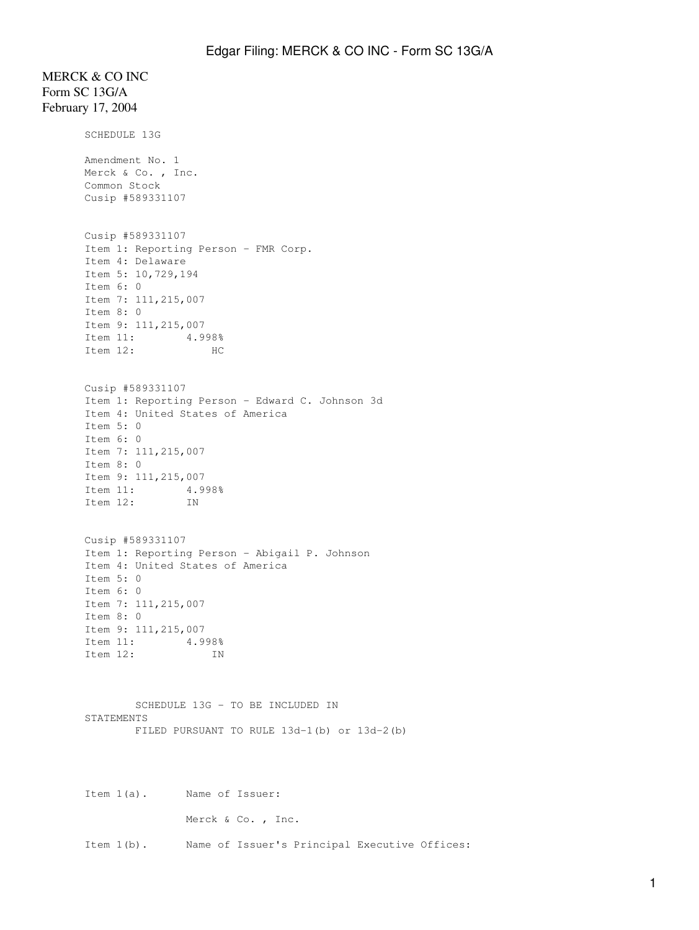# MERCK & CO INC Form SC 13G/A February 17, 2004

SCHEDULE 13G Amendment No. 1 Merck & Co., Inc. Common Stock Cusip #589331107 Cusip #589331107 Item 1: Reporting Person - FMR Corp. Item 4: Delaware Item 5: 10,729,194 Item 6: 0 Item 7: 111,215,007 Item 8: 0 Item 9: 111,215,007 Item 11: 4.998% Item 12: HC Cusip #589331107 Item 1: Reporting Person - Edward C. Johnson 3d Item 4: United States of America Item 5: 0 Item 6: 0 Item 7: 111,215,007 Item 8: 0 Item 9: 111,215,007 Item 11: 4.998%<br>Item 12: IN Item 12: Cusip #589331107 Item 1: Reporting Person - Abigail P. Johnson Item 4: United States of America Item 5: 0 Item 6: 0 Item 7: 111,215,007 Item 8: 0 Item 9: 111,215,007 Item 11: 4.998% Item 12: IN SCHEDULE 13G - TO BE INCLUDED IN STATEMENTS FILED PURSUANT TO RULE 13d-1(b) or 13d-2(b) Item 1(a). Name of Issuer: Merck & Co., Inc.

Item 1(b). Name of Issuer's Principal Executive Offices: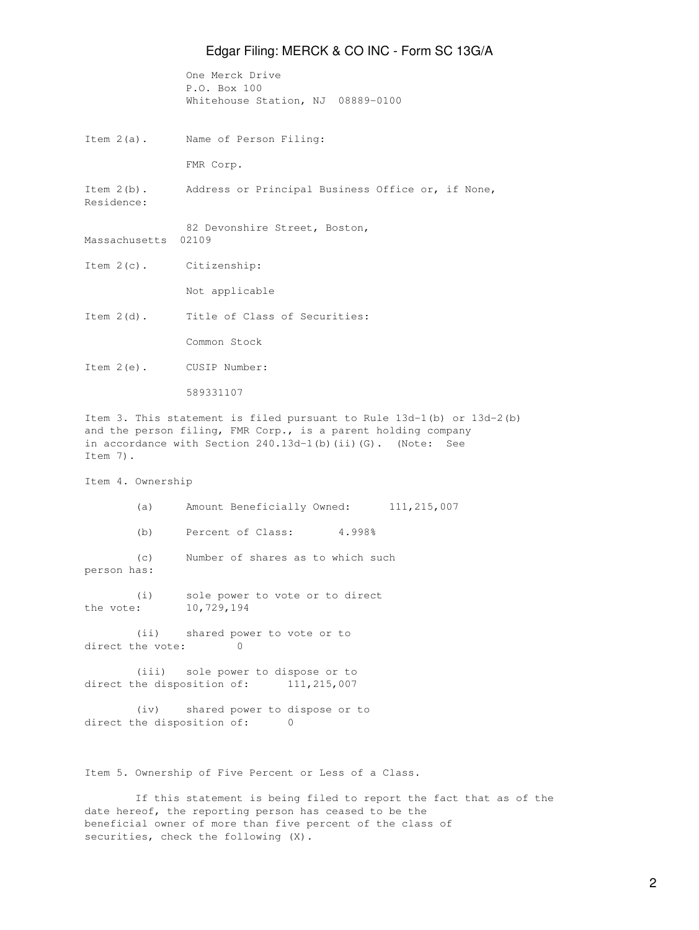One Merck Drive P.O. Box 100 Whitehouse Station, NJ 08889-0100

Item 2(a). Name of Person Filing:

FMR Corp.

Item 2(b). Address or Principal Business Office or, if None,

Residence:

82 Devonshire Street, Boston, Massachusetts 02109

Item 2(c). Citizenship:

Not applicable

Item 2(d). Title of Class of Securities:

Common Stock

Item 2(e). CUSIP Number:

589331107

Item 3. This statement is filed pursuant to Rule 13d-1(b) or 13d-2(b) and the person filing, FMR Corp., is a parent holding company in accordance with Section 240.13d-1(b)(ii)(G). (Note: See Item 7).

Item 4. Ownership

 (a) Amount Beneficially Owned: 111,215,007 (b) Percent of Class: 4.998%

 (c) Number of shares as to which such person has:

(i) sole power to vote or to direct the vote: 10,729,194

 (ii) shared power to vote or to direct the vote: 0

 (iii) sole power to dispose or to direct the disposition of: 111,215,007

 (iv) shared power to dispose or to direct the disposition of: 0

Item 5. Ownership of Five Percent or Less of a Class.

 If this statement is being filed to report the fact that as of the date hereof, the reporting person has ceased to be the beneficial owner of more than five percent of the class of securities, check the following (X).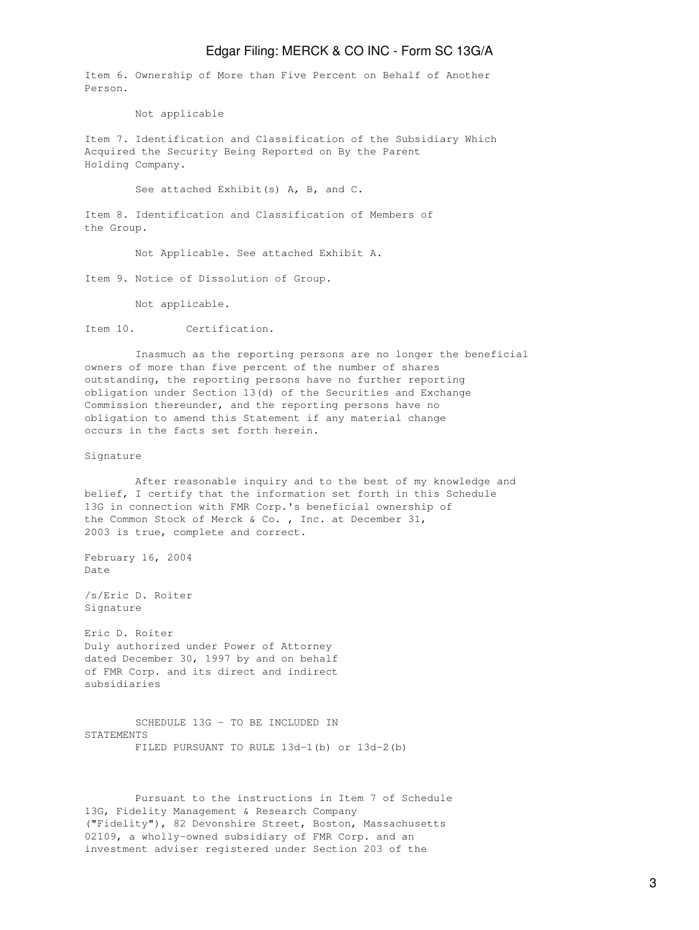Item 6. Ownership of More than Five Percent on Behalf of Another Person.

Not applicable

Item 7. Identification and Classification of the Subsidiary Which Acquired the Security Being Reported on By the Parent Holding Company.

See attached Exhibit(s) A, B, and C.

Item 8. Identification and Classification of Members of the Group.

Not Applicable. See attached Exhibit A.

Item 9. Notice of Dissolution of Group.

Not applicable.

Item 10. Certification.

 Inasmuch as the reporting persons are no longer the beneficial owners of more than five percent of the number of shares outstanding, the reporting persons have no further reporting obligation under Section 13(d) of the Securities and Exchange Commission thereunder, and the reporting persons have no obligation to amend this Statement if any material change occurs in the facts set forth herein.

#### Signature

 After reasonable inquiry and to the best of my knowledge and belief, I certify that the information set forth in this Schedule 13G in connection with FMR Corp.'s beneficial ownership of the Common Stock of Merck & Co. , Inc. at December 31, 2003 is true, complete and correct.

February 16, 2004 Date

/s/Eric D. Roiter Signature

Eric D. Roiter Duly authorized under Power of Attorney dated December 30, 1997 by and on behalf of FMR Corp. and its direct and indirect subsidiaries

 SCHEDULE 13G - TO BE INCLUDED IN STATEMENTS FILED PURSUANT TO RULE 13d-1(b) or 13d-2(b)

 Pursuant to the instructions in Item 7 of Schedule 13G, Fidelity Management & Research Company ("Fidelity"), 82 Devonshire Street, Boston, Massachusetts 02109, a wholly-owned subsidiary of FMR Corp. and an investment adviser registered under Section 203 of the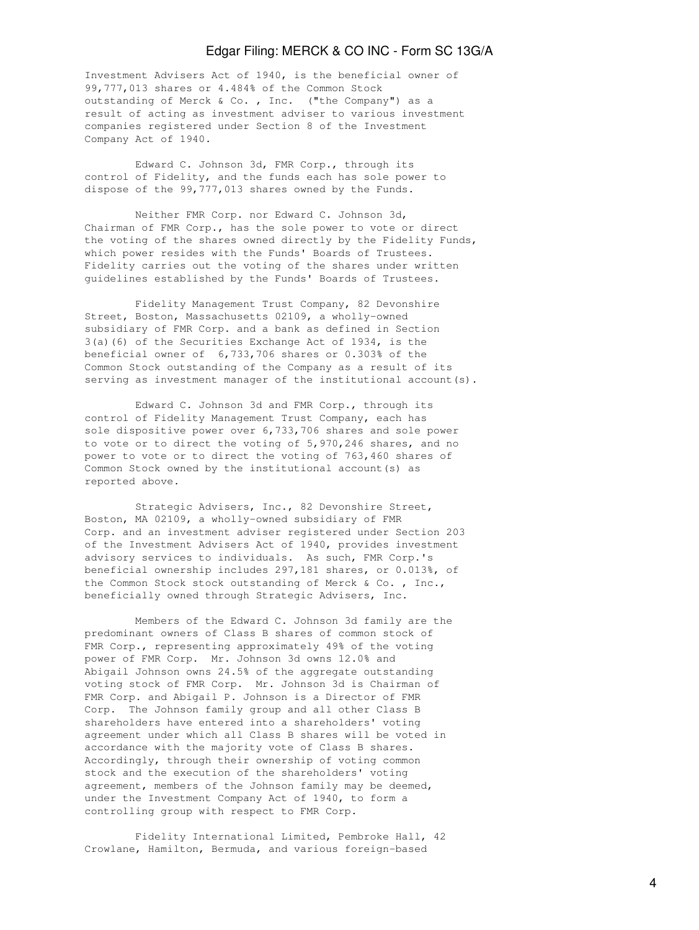Investment Advisers Act of 1940, is the beneficial owner of 99,777,013 shares or 4.484% of the Common Stock outstanding of Merck & Co. , Inc. ("the Company") as a result of acting as investment adviser to various investment companies registered under Section 8 of the Investment Company Act of 1940.

 Edward C. Johnson 3d, FMR Corp., through its control of Fidelity, and the funds each has sole power to dispose of the 99,777,013 shares owned by the Funds.

 Neither FMR Corp. nor Edward C. Johnson 3d, Chairman of FMR Corp., has the sole power to vote or direct the voting of the shares owned directly by the Fidelity Funds, which power resides with the Funds' Boards of Trustees. Fidelity carries out the voting of the shares under written guidelines established by the Funds' Boards of Trustees.

 Fidelity Management Trust Company, 82 Devonshire Street, Boston, Massachusetts 02109, a wholly-owned subsidiary of FMR Corp. and a bank as defined in Section 3(a)(6) of the Securities Exchange Act of 1934, is the beneficial owner of 6,733,706 shares or 0.303% of the Common Stock outstanding of the Company as a result of its serving as investment manager of the institutional account(s).

 Edward C. Johnson 3d and FMR Corp., through its control of Fidelity Management Trust Company, each has sole dispositive power over 6,733,706 shares and sole power to vote or to direct the voting of 5,970,246 shares, and no power to vote or to direct the voting of 763,460 shares of Common Stock owned by the institutional account(s) as reported above.

 Strategic Advisers, Inc., 82 Devonshire Street, Boston, MA 02109, a wholly-owned subsidiary of FMR Corp. and an investment adviser registered under Section 203 of the Investment Advisers Act of 1940, provides investment advisory services to individuals. As such, FMR Corp.'s beneficial ownership includes 297,181 shares, or 0.013%, of the Common Stock stock outstanding of Merck & Co. , Inc., beneficially owned through Strategic Advisers, Inc.

 Members of the Edward C. Johnson 3d family are the predominant owners of Class B shares of common stock of FMR Corp., representing approximately 49% of the voting power of FMR Corp. Mr. Johnson 3d owns 12.0% and Abigail Johnson owns 24.5% of the aggregate outstanding voting stock of FMR Corp. Mr. Johnson 3d is Chairman of FMR Corp. and Abigail P. Johnson is a Director of FMR Corp. The Johnson family group and all other Class B shareholders have entered into a shareholders' voting agreement under which all Class B shares will be voted in accordance with the majority vote of Class B shares. Accordingly, through their ownership of voting common stock and the execution of the shareholders' voting agreement, members of the Johnson family may be deemed, under the Investment Company Act of 1940, to form a controlling group with respect to FMR Corp.

 Fidelity International Limited, Pembroke Hall, 42 Crowlane, Hamilton, Bermuda, and various foreign-based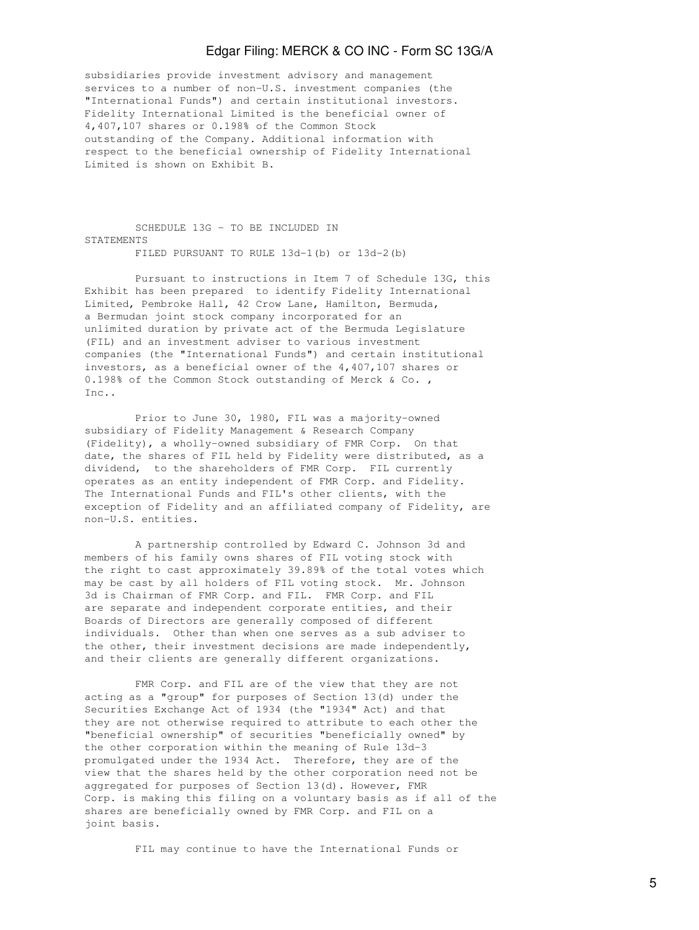subsidiaries provide investment advisory and management services to a number of non-U.S. investment companies (the "International Funds") and certain institutional investors. Fidelity International Limited is the beneficial owner of 4,407,107 shares or 0.198% of the Common Stock outstanding of the Company. Additional information with respect to the beneficial ownership of Fidelity International Limited is shown on Exhibit B.

 SCHEDULE 13G - TO BE INCLUDED IN **STATEMENTS** FILED PURSUANT TO RULE 13d-1(b) or 13d-2(b)

 Pursuant to instructions in Item 7 of Schedule 13G, this Exhibit has been prepared to identify Fidelity International Limited, Pembroke Hall, 42 Crow Lane, Hamilton, Bermuda, a Bermudan joint stock company incorporated for an unlimited duration by private act of the Bermuda Legislature (FIL) and an investment adviser to various investment companies (the "International Funds") and certain institutional investors, as a beneficial owner of the 4,407,107 shares or 0.198% of the Common Stock outstanding of Merck & Co., Inc.

 Prior to June 30, 1980, FIL was a majority-owned subsidiary of Fidelity Management & Research Company (Fidelity), a wholly-owned subsidiary of FMR Corp. On that date, the shares of FIL held by Fidelity were distributed, as a dividend, to the shareholders of FMR Corp. FIL currently operates as an entity independent of FMR Corp. and Fidelity. The International Funds and FIL's other clients, with the exception of Fidelity and an affiliated company of Fidelity, are non-U.S. entities.

 A partnership controlled by Edward C. Johnson 3d and members of his family owns shares of FIL voting stock with the right to cast approximately 39.89% of the total votes which may be cast by all holders of FIL voting stock. Mr. Johnson 3d is Chairman of FMR Corp. and FIL. FMR Corp. and FIL are separate and independent corporate entities, and their Boards of Directors are generally composed of different individuals. Other than when one serves as a sub adviser to the other, their investment decisions are made independently, and their clients are generally different organizations.

 FMR Corp. and FIL are of the view that they are not acting as a "group" for purposes of Section 13(d) under the Securities Exchange Act of 1934 (the "1934" Act) and that they are not otherwise required to attribute to each other the "beneficial ownership" of securities "beneficially owned" by the other corporation within the meaning of Rule 13d-3 promulgated under the 1934 Act. Therefore, they are of the view that the shares held by the other corporation need not be aggregated for purposes of Section 13(d). However, FMR Corp. is making this filing on a voluntary basis as if all of the shares are beneficially owned by FMR Corp. and FIL on a joint basis.

FIL may continue to have the International Funds or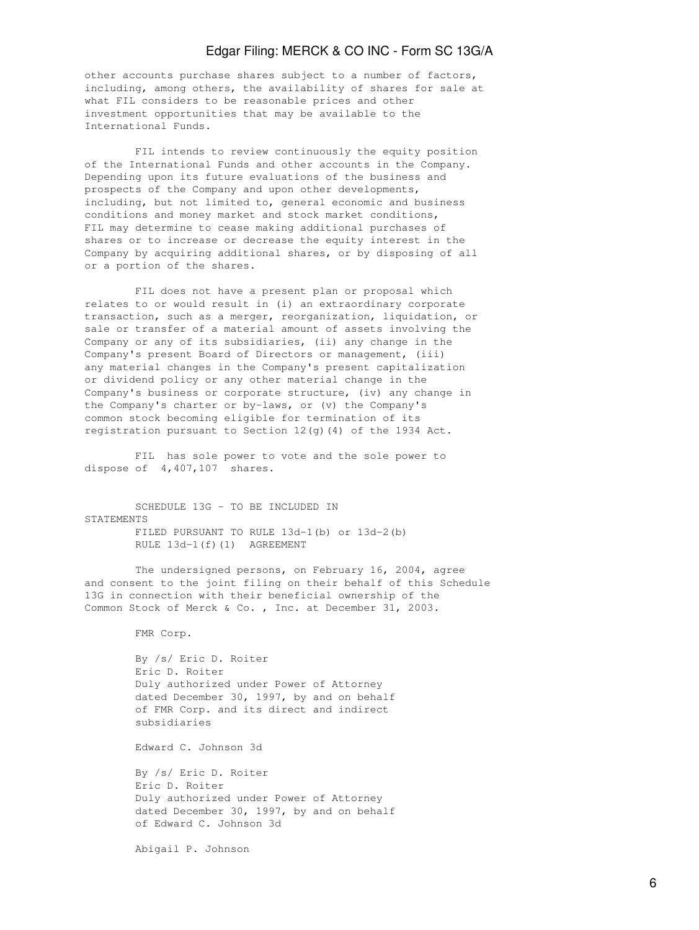other accounts purchase shares subject to a number of factors, including, among others, the availability of shares for sale at what FIL considers to be reasonable prices and other investment opportunities that may be available to the International Funds.

 FIL intends to review continuously the equity position of the International Funds and other accounts in the Company. Depending upon its future evaluations of the business and prospects of the Company and upon other developments, including, but not limited to, general economic and business conditions and money market and stock market conditions, FIL may determine to cease making additional purchases of shares or to increase or decrease the equity interest in the Company by acquiring additional shares, or by disposing of all or a portion of the shares.

 FIL does not have a present plan or proposal which relates to or would result in (i) an extraordinary corporate transaction, such as a merger, reorganization, liquidation, or sale or transfer of a material amount of assets involving the Company or any of its subsidiaries, (ii) any change in the Company's present Board of Directors or management, (iii) any material changes in the Company's present capitalization or dividend policy or any other material change in the Company's business or corporate structure, (iv) any change in the Company's charter or by-laws, or (v) the Company's common stock becoming eligible for termination of its registration pursuant to Section 12(g)(4) of the 1934 Act.

 FIL has sole power to vote and the sole power to dispose of 4,407,107 shares.

 SCHEDULE 13G - TO BE INCLUDED IN **STATEMENTS**  FILED PURSUANT TO RULE 13d-1(b) or 13d-2(b) RULE 13d-1(f)(1) AGREEMENT

 The undersigned persons, on February 16, 2004, agree and consent to the joint filing on their behalf of this Schedule 13G in connection with their beneficial ownership of the Common Stock of Merck & Co. , Inc. at December 31, 2003.

FMR Corp.

 By /s/ Eric D. Roiter Eric D. Roiter Duly authorized under Power of Attorney dated December 30, 1997, by and on behalf of FMR Corp. and its direct and indirect subsidiaries

Edward C. Johnson 3d

 By /s/ Eric D. Roiter Eric D. Roiter Duly authorized under Power of Attorney dated December 30, 1997, by and on behalf of Edward C. Johnson 3d

Abigail P. Johnson